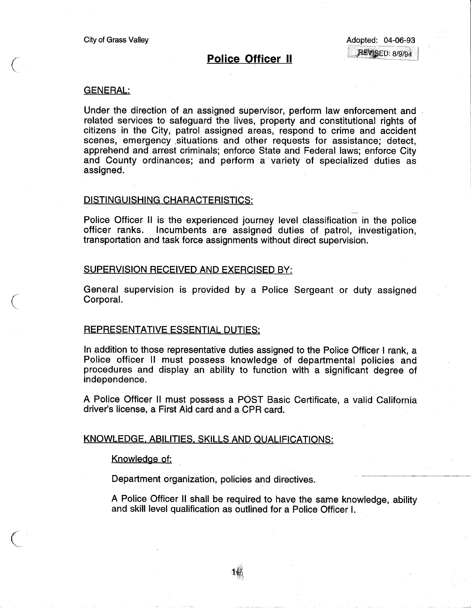# Police Officer II

# GENERAL:

 $\big($ 

 $\bigg($ 

 $\bigg($ 

Under the direction of an assigned supervisor, perform law enforcement and related services to safeguard the lives, property and constitutional rights of citizens in the City, patrol assigned areas, respond to crime and accident scenes, emergency situations and other requests for assistance; detect, apprehend and arrest oriminals; enforce State and Federal laws; enforce City and County ordinances; and perform a variety of specialized duties as assigned.

# DISTINGUISHING CHARACTERISTICS:

Police Officer II is the experienced journey level classification in the police officer ranks. Incumbents are assigned duties of patrol, investigation, transportation and task force assignments without direct supervision.

#### SUPERVISION RECEIVED AND EXERCISED BY:

General supervision is provided by a Police Sergeant or duty assigned CorporaL.

## REPRESENTATIVE ESSENTIAL DUTIES:

In addition to those representative duties assigned to the Police Officer I rank, a Police officer II must possess knowledge of departmental policies and procedures and display an ability to function with a significant degree of independence.

A Police Officer II must possess a POST Basic Certificate, a valid California driver's license, a First Aid card and a CPR oard. .

### KNOWLEDGE. ABILITIES. SKILLS AND QUALIFICATIONS:

#### Knowledge of:

Department organization, policies and directives.

A Police Officer II shall be required to have the same knowledge, ability and skill level qualification as outlined for a Police Officer I.